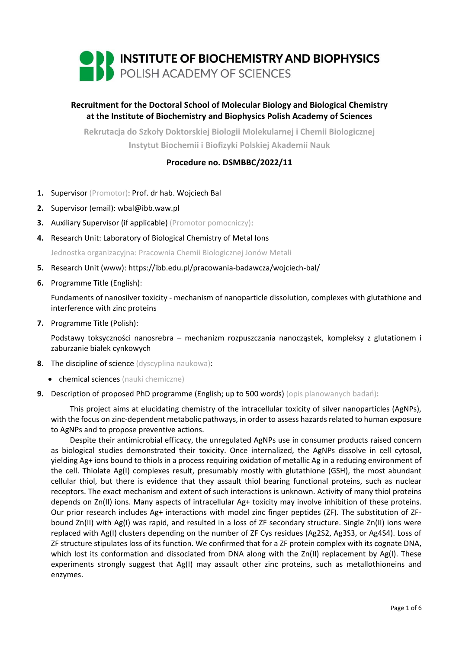

# **Recruitment for the Doctoral School of Molecular Biology and Biological Chemistry at the Institute of Biochemistry and Biophysics Polish Academy of Sciences**

**Rekrutacja do Szkoły Doktorskiej Biologii Molekularnej i Chemii Biologicznej Instytut Biochemii i Biofizyki Polskiej Akademii Nauk**

## **Procedure no. DSMBBC/2022/11**

- **1.** Supervisor (Promotor): Prof. dr hab. Wojciech Bal
- **2.** Supervisor (email): wbal@ibb.waw.pl
- **3.** Auxiliary Supervisor (if applicable) (Promotor pomocniczy):
- **4.** Research Unit: Laboratory of Biological Chemistry of Metal Ions

Jednostka organizacyjna: Pracownia Chemii Biologicznej Jonów Metali

- **5.** Research Unit (www): https://ibb.edu.pl/pracowania-badawcza/wojciech-bal/
- **6.** Programme Title (English):

Fundaments of nanosilver toxicity - mechanism of nanoparticle dissolution, complexes with glutathione and interference with zinc proteins

**7.** Programme Title (Polish):

Podstawy toksyczności nanosrebra – mechanizm rozpuszczania nanocząstek, kompleksy z glutationem i zaburzanie białek cynkowych

- **8.** The discipline of science (dyscyplina naukowa):
	- chemical sciences (nauki chemiczne)
- **9.** Description of proposed PhD programme (English; up to 500 words) (opis planowanych badań):

This project aims at elucidating chemistry of the intracellular toxicity of silver nanoparticles (AgNPs), with the focus on zinc-dependent metabolic pathways, in order to assess hazards related to human exposure to AgNPs and to propose preventive actions.

Despite their antimicrobial efficacy, the unregulated AgNPs use in consumer products raised concern as biological studies demonstrated their toxicity. Once internalized, the AgNPs dissolve in cell cytosol, yielding Ag+ ions bound to thiols in a process requiring oxidation of metallic Ag in a reducing environment of the cell. Thiolate Ag(I) complexes result, presumably mostly with glutathione (GSH), the most abundant cellular thiol, but there is evidence that they assault thiol bearing functional proteins, such as nuclear receptors. The exact mechanism and extent of such interactions is unknown. Activity of many thiol proteins depends on Zn(II) ions. Many aspects of intracellular Ag+ toxicity may involve inhibition of these proteins. Our prior research includes Ag+ interactions with model zinc finger peptides (ZF). The substitution of ZFbound Zn(II) with Ag(I) was rapid, and resulted in a loss of ZF secondary structure. Single Zn(II) ions were replaced with Ag(I) clusters depending on the number of ZF Cys residues (Ag2S2, Ag3S3, or Ag4S4). Loss of ZF structure stipulates loss of its function. We confirmed that for a ZF protein complex with its cognate DNA, which lost its conformation and dissociated from DNA along with the Zn(II) replacement by Ag(I). These experiments strongly suggest that Ag(I) may assault other zinc proteins, such as metallothioneins and enzymes.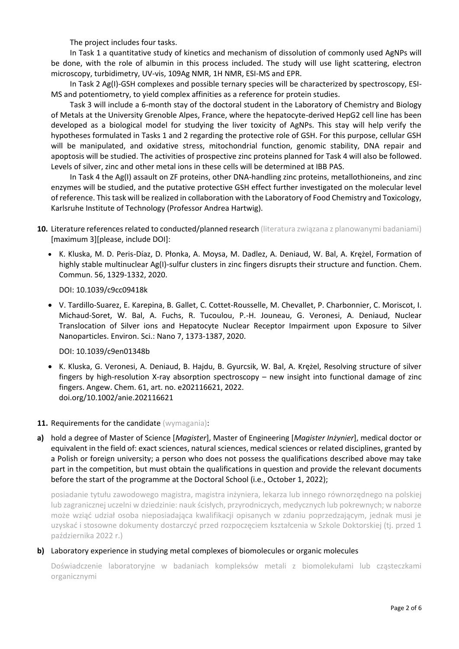The project includes four tasks.

In Task 1 a quantitative study of kinetics and mechanism of dissolution of commonly used AgNPs will be done, with the role of albumin in this process included. The study will use light scattering, electron microscopy, turbidimetry, UV-vis, 109Ag NMR, 1H NMR, ESI-MS and EPR.

In Task 2 Ag(I)-GSH complexes and possible ternary species will be characterized by spectroscopy, ESI-MS and potentiometry, to yield complex affinities as a reference for protein studies.

Task 3 will include a 6-month stay of the doctoral student in the Laboratory of Chemistry and Biology of Metals at the University Grenoble Alpes, France, where the hepatocyte-derived HepG2 cell line has been developed as a biological model for studying the liver toxicity of AgNPs. This stay will help verify the hypotheses formulated in Tasks 1 and 2 regarding the protective role of GSH. For this purpose, cellular GSH will be manipulated, and oxidative stress, mitochondrial function, genomic stability, DNA repair and apoptosis will be studied. The activities of prospective zinc proteins planned for Task 4 will also be followed. Levels of silver, zinc and other metal ions in these cells will be determined at IBB PAS.

In Task 4 the Ag(I) assault on ZF proteins, other DNA-handling zinc proteins, metallothioneins, and zinc enzymes will be studied, and the putative protective GSH effect further investigated on the molecular level of reference. This task will be realized in collaboration with the Laboratory of Food Chemistry and Toxicology, Karlsruhe Institute of Technology (Professor Andrea Hartwig).

- **10.** Literature references related to conducted/planned research (literatura związana z planowanymi badaniami) [maximum 3][please, include DOI]:
	- K. Kluska, M. D. Peris-Díaz, D. Płonka, A. Moysa, M. Dadlez, A. Deniaud, W. Bal, A. Krężel, Formation of highly stable multinuclear Ag(I)-sulfur clusters in zinc fingers disrupts their structure and function. Chem. Commun. 56, 1329-1332, 2020.

DOI: 10.1039/c9cc09418k

• V. Tardillo-Suarez, E. Karepina, B. Gallet, C. Cottet-Rousselle, M. Chevallet, P. Charbonnier, C. Moriscot, I. Michaud-Soret, W. Bal, A. Fuchs, R. Tucoulou, P.-H. Jouneau, G. Veronesi, A. Deniaud, Nuclear Translocation of Silver ions and Hepatocyte Nuclear Receptor Impairment upon Exposure to Silver Nanoparticles. Environ. Sci.: Nano 7, 1373-1387, 2020.

DOI: 10.1039/c9en01348b

- K. Kluska, G. Veronesi, A. Deniaud, B. Hajdu, B. Gyurcsik, W. Bal, A. Krężel, Resolving structure of silver fingers by high-resolution X-ray absorption spectroscopy – new insight into functional damage of zinc fingers. Angew. Chem. 61, art. no. e202116621, 2022. doi.org/10.1002/anie.202116621
- **11. Requirements for the candidate** (wymagania):
- **a)** hold a degree of Master of Science [*Magister*], Master of Engineering [*Magister Inżynier*], medical doctor or equivalent in the field of: exact sciences, natural sciences, medical sciences or related disciplines, granted by a Polish or foreign university; a person who does not possess the qualifications described above may take part in the competition, but must obtain the qualifications in question and provide the relevant documents before the start of the programme at the Doctoral School (i.e., October 1, 2022);

posiadanie tytułu zawodowego magistra, magistra inżyniera, lekarza lub innego równorzędnego na polskiej lub zagranicznej uczelni w dziedzinie: nauk ścisłych, przyrodniczych, medycznych lub pokrewnych; w naborze może wziąć udział osoba nieposiadająca kwalifikacji opisanych w zdaniu poprzedzającym, jednak musi je uzyskać i stosowne dokumenty dostarczyć przed rozpoczęciem kształcenia w Szkole Doktorskiej (tj. przed 1 października 2022 r.)

### **b)** Laboratory experience in studying metal complexes of biomolecules or organic molecules

Doświadczenie laboratoryjne w badaniach kompleksów metali z biomolekułami lub cząsteczkami organicznymi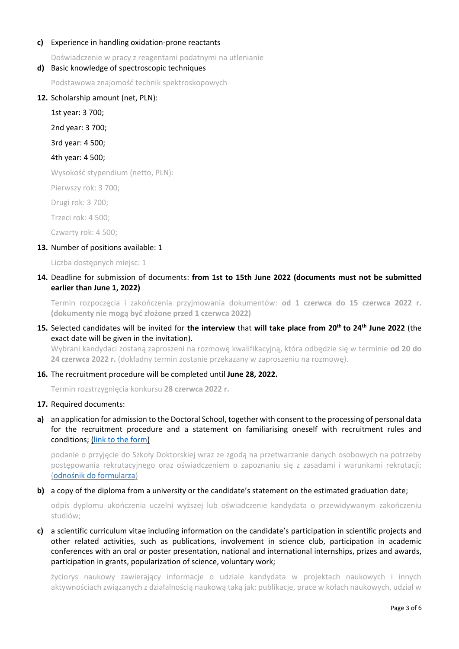### **c)** Experience in handling oxidation-prone reactants

Doświadczenie w pracy z reagentami podatnymi na utlenianie

### **d)** Basic knowledge of spectroscopic techniques

Podstawowa znajomość technik spektroskopowych

### **12.** Scholarship amount (net, PLN):

1st year: 3 700;

2nd year: 3 700;

3rd year: 4 500;

### 4th year: 4 500;

Wysokość stypendium (netto, PLN):

Pierwszy rok: 3 700;

Drugi rok: 3 700;

Trzeci rok: 4 500;

Czwarty rok: 4 500;

### **13.** Number of positions available: 1

Liczba dostępnych miejsc: 1

### **14.** Deadline for submission of documents: **from 1st to 15th June 2022 (documents must not be submitted earlier than June 1, 2022)**

Termin rozpoczęcia i zakończenia przyjmowania dokumentów: **od 1 czerwca do 15 czerwca 2022 r. (dokumenty nie mogą być złożone przed 1 czerwca 2022)**

### **15.** Selected candidates will be invited for **the interview** that **will take place from 20th to 24th June 2022** (the exact date will be given in the invitation).

Wybrani kandydaci zostaną zaproszeni na rozmowę kwalifikacyjną, która odbędzie się w terminie **od 20 do 24 czerwca 2022 r.** (dokładny termin zostanie przekazany w zaproszeniu na rozmowę).

### **16.** The recruitment procedure will be completed until **June 28, 2022.**

Termin rozstrzygnięcia konkursu **28 czerwca 2022 r.**

### **17.** Required documents:

**a)** an application for admission to the Doctoral School, together with consent to the processing of personal data for the recruitment procedure and a statement on familiarising oneself with recruitment rules and conditions; [\(link to the form\)](https://ibb.edu.pl/app/uploads/2022/05/application-form_doctoralschool_ibb-pas.docx)

podanie o przyjęcie do Szkoły Doktorskiej wraz ze zgodą na przetwarzanie danych osobowych na potrzeby postępowania rekrutacyjnego oraz oświadczeniem o zapoznaniu się z zasadami i warunkami rekrutacji; ([odnośnik do formularza](https://ibb.edu.pl/app/uploads/2022/05/application-form_doctoralschool_ibb-pas.docx))

### **b)** a copy of the diploma from a university or the candidate's statement on the estimated graduation date;

odpis dyplomu ukończenia uczelni wyższej lub oświadczenie kandydata o przewidywanym zakończeniu studiów;

**c)** a scientific curriculum vitae including information on the candidate's participation in scientific projects and other related activities, such as publications, involvement in science club, participation in academic conferences with an oral or poster presentation, national and international internships, prizes and awards, participation in grants, popularization of science, voluntary work;

życiorys naukowy zawierający informacje o udziale kandydata w projektach naukowych i innych aktywnościach związanych z działalnością naukową taką jak: publikacje, prace w kołach naukowych, udział w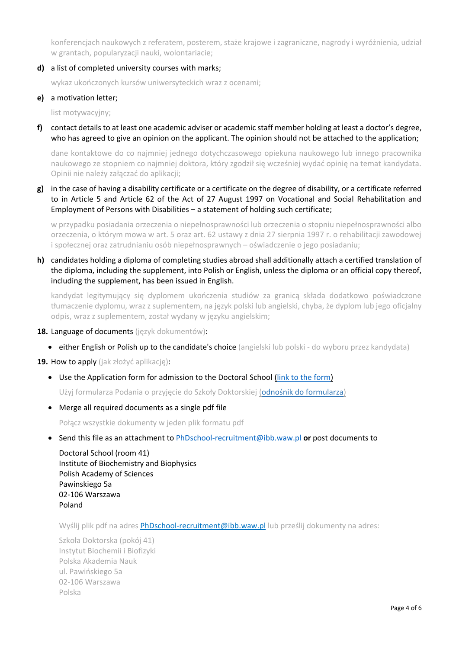konferencjach naukowych z referatem, posterem, staże krajowe i zagraniczne, nagrody i wyróżnienia, udział w grantach, popularyzacji nauki, wolontariacie;

**d)** a list of completed university courses with marks;

wykaz ukończonych kursów uniwersyteckich wraz z ocenami;

#### **e)** a motivation letter;

list motywacyjny;

**f)** contact details to at least one academic adviser or academic staff member holding at least a doctor's degree, who has agreed to give an opinion on the applicant. The opinion should not be attached to the application;

dane kontaktowe do co najmniej jednego dotychczasowego opiekuna naukowego lub innego pracownika naukowego ze stopniem co najmniej doktora, który zgodził się wcześniej wydać opinię na temat kandydata. Opinii nie należy załączać do aplikacji;

**g)** in the case of having a disability certificate or a certificate on the degree of disability, or a certificate referred to in Article 5 and Article 62 of the Act of 27 August 1997 on Vocational and Social Rehabilitation and Employment of Persons with Disabilities – a statement of holding such certificate;

w przypadku posiadania orzeczenia o niepełnosprawności lub orzeczenia o stopniu niepełnosprawności albo orzeczenia, o którym mowa w art. 5 oraz art. 62 ustawy z dnia 27 sierpnia 1997 r. o rehabilitacji zawodowej i społecznej oraz zatrudnianiu osób niepełnosprawnych – oświadczenie o jego posiadaniu;

**h)** candidates holding a diploma of completing studies abroad shall additionally attach a certified translation of the diploma, including the supplement, into Polish or English, unless the diploma or an official copy thereof, including the supplement, has been issued in English.

kandydat legitymujący się dyplomem ukończenia studiów za granicą składa dodatkowo poświadczone tłumaczenie dyplomu, wraz z suplementem, na język polski lub angielski, chyba, że dyplom lub jego oficjalny odpis, wraz z suplementem, został wydany w języku angielskim;

- **18.** Language of documents (język dokumentów):
	- either English or Polish up to the candidate's choice (angielski lub polski do wyboru przez kandydata)

**19.** How to apply (jak złożyć aplikację):

• Use the Application form for admission to the Doctoral School [\(link to the form\)](https://ibb.edu.pl/app/uploads/2022/05/application-form_doctoralschool_ibb-pas.docx)

Użyj formularza Podania o przyjęcie do Szkoły Doktorskiej ([odnośnik do formularza](https://ibb.edu.pl/app/uploads/2022/05/application-form_doctoralschool_ibb-pas.docx))

• Merge all required documents as a single pdf file

Połącz wszystkie dokumenty w jeden plik formatu pdf

• Send this file as an attachment to [PhDschool-recruitment@ibb.waw.pl](mailto:PhDschool-recruitment@ibb.waw.pl) **or** post documents to

Doctoral School (room 41) Institute of Biochemistry and Biophysics Polish Academy of Sciences Pawinskiego 5a 02-106 Warszawa Poland

Wyślij plik pdf na adres [PhDschool-recruitment@ibb.waw.pl](mailto:PhDschool-recruitment@ibb.waw.pl) lub prześlij dokumenty na adres:

Szkoła Doktorska (pokój 41) Instytut Biochemii i Biofizyki Polska Akademia Nauk ul. Pawińskiego 5a 02-106 Warszawa Polska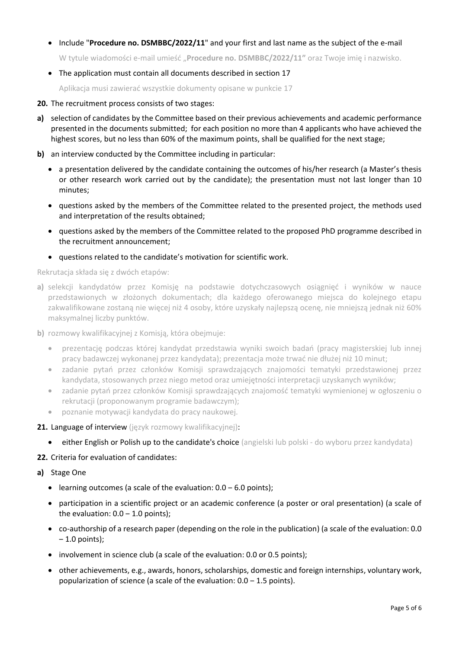• Include "**Procedure no. DSMBBC/2022/11**" and your first and last name as the subject of the e-mail

W tytule wiadomości e-mail umieść "**Procedure no. DSMBBC/2022/11"** oraz Twoje imię i nazwisko.

• The application must contain all documents described in section 17

Aplikacja musi zawierać wszystkie dokumenty opisane w punkcie 17

- **20.** The recruitment process consists of two stages:
- **a)** selection of candidates by the Committee based on their previous achievements and academic performance presented in the documents submitted; for each position no more than 4 applicants who have achieved the highest scores, but no less than 60% of the maximum points, shall be qualified for the next stage;
- **b)** an interview conducted by the Committee including in particular:
	- a presentation delivered by the candidate containing the outcomes of his/her research (a Master's thesis or other research work carried out by the candidate); the presentation must not last longer than 10 minutes;
	- questions asked by the members of the Committee related to the presented project, the methods used and interpretation of the results obtained;
	- questions asked by the members of the Committee related to the proposed PhD programme described in the recruitment announcement;
	- questions related to the candidate's motivation for scientific work.

Rekrutacja składa się z dwóch etapów:

- **a)** selekcji kandydatów przez Komisję na podstawie dotychczasowych osiągnięć i wyników w nauce przedstawionych w złożonych dokumentach; dla każdego oferowanego miejsca do kolejnego etapu zakwalifikowane zostaną nie więcej niż 4 osoby, które uzyskały najlepszą ocenę, nie mniejszą jednak niż 60% maksymalnej liczby punktów.
- **b)** rozmowy kwalifikacyjnej z Komisją, która obejmuje:
	- prezentację podczas której kandydat przedstawia wyniki swoich badań (pracy magisterskiej lub innej pracy badawczej wykonanej przez kandydata); prezentacja może trwać nie dłużej niż 10 minut;
	- zadanie pytań przez członków Komisji sprawdzających znajomości tematyki przedstawionej przez kandydata, stosowanych przez niego metod oraz umiejętności interpretacji uzyskanych wyników;
	- zadanie pytań przez członków Komisji sprawdzających znajomość tematyki wymienionej w ogłoszeniu o rekrutacji (proponowanym programie badawczym);
	- poznanie motywacji kandydata do pracy naukowej.
- **21.** Language of interview (język rozmowy kwalifikacyjnej):
	- either English or Polish up to the candidate's choice (angielski lub polski do wyboru przez kandydata)
- **22.** Criteria for evaluation of candidates:
- **a)** Stage One
	- learning outcomes (a scale of the evaluation:  $0.0 6.0$  points);
	- participation in a scientific project or an academic conference (a poster or oral presentation) (a scale of the evaluation:  $0.0 - 1.0$  points);
	- co-authorship of a research paper (depending on the role in the publication) (a scale of the evaluation: 0.0  $-1.0$  points);
	- involvement in science club (a scale of the evaluation: 0.0 or 0.5 points);
	- other achievements, e.g., awards, honors, scholarships, domestic and foreign internships, voluntary work, popularization of science (a scale of the evaluation:  $0.0 - 1.5$  points).